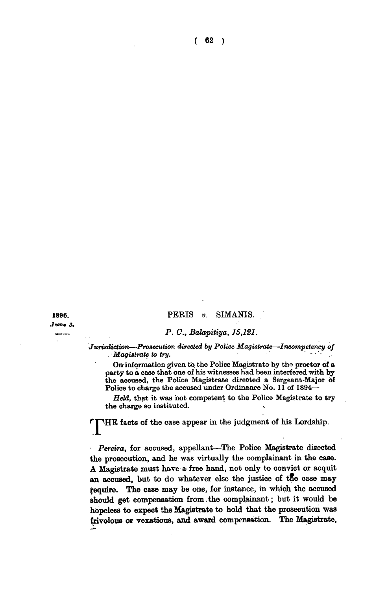**PERIS** *v.* **SIMANIS.** 

**1896.**  *.tun\* 3.* 

## *P. C, Balapitiya, 15,121.*

*Jurisdiction—Prosecution directed by Police Magistrate—Incompetency of •Magistrate to try.* 

On information given to the Police Magistrate by the proctor of a **party to a case that one of his witnesses had been interfered with by the accused, the Police Magistrate directed a Sergeant-Major of Police to charge the accused under Ordinance No. 11 of 1894—** 

*Held,* **that it was hot competent to the Police Magistrate to try the charge so instituted.** 

**THE facts of the case appear in the judgment of his Lordship.** 

*Pereira,* **for accused, appellant—The Police Magistrate directed the prosecution, and he was virtually the complainant in the case. A Magistrate must have a free hand, not only to convict or acquit an accused, but to do whatever else the justice of tRe case may require. The case may be one, for instance, in which the accused should get compensation from.the complainant; but it would be hopeless to expect the Magistrate to hold that the prosecution was frivolous or vexatious, and award compensation. The Magistrate,**